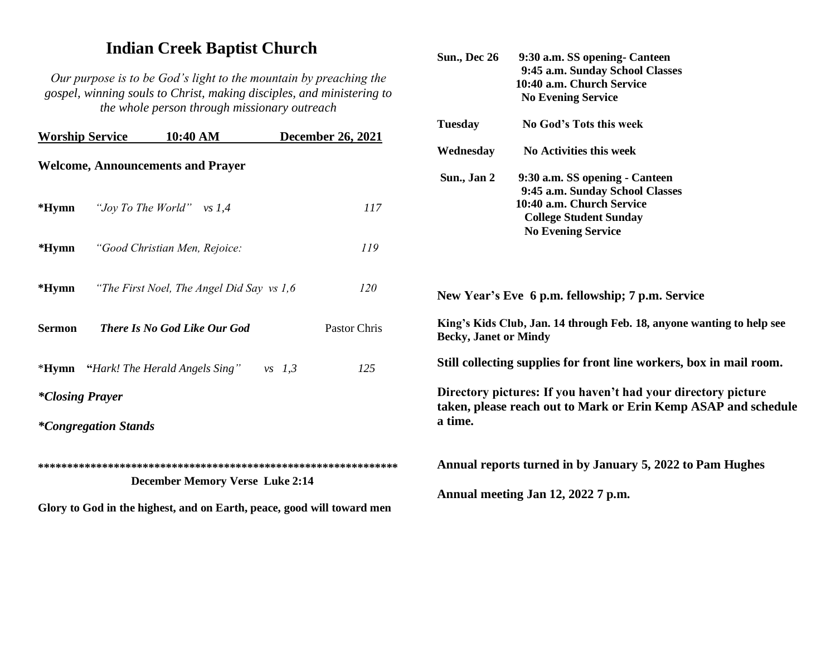## **Indian Creek Baptist Church**

*Our purpose is to be God's light to the mountain by preaching the gospel, winning souls to Christ, making disciples, and ministering to the whole person through missionary outreach*

| <b>Worship Service</b>                                                 | 10:40 AM                                    | <b>December 26, 2021</b> | <b>Tuesday</b>                                                                                                                             | No God's Tots this week                                                                       |
|------------------------------------------------------------------------|---------------------------------------------|--------------------------|--------------------------------------------------------------------------------------------------------------------------------------------|-----------------------------------------------------------------------------------------------|
| <b>Welcome, Announcements and Prayer</b>                               |                                             |                          | Wednesday<br>Sun., Jan 2                                                                                                                   | No Activities this week<br>9:30 a.m. SS opening - Canteen                                     |
| $*Hymn$                                                                | "Joy To The World" vs $1,4$                 | <i>117</i>               |                                                                                                                                            | 9:45 a.m. Sunday School Classes<br>10:40 a.m. Church Service<br><b>College Student Sunday</b> |
| $*Hymn$                                                                | "Good Christian Men, Rejoice:               | 119                      |                                                                                                                                            | <b>No Evening Service</b>                                                                     |
| $*Hymn$                                                                | "The First Noel, The Angel Did Say vs 1,6"  | 120                      | New Year's Eve 6 p.m. fellowship; 7 p.m. Service                                                                                           |                                                                                               |
| <b>Sermon</b>                                                          | <b>There Is No God Like Our God</b>         | Pastor Chris             | King's Kids Club, Jan. 14 through Feb. 18, anyone wanting to help see<br><b>Becky, Janet or Mindy</b>                                      |                                                                                               |
|                                                                        | <b>*Hymn</b> "Hark! The Herald Angels Sing" | 125<br>$vs$ 1,3          | Still collecting supplies for front line workers, box in mail room.                                                                        |                                                                                               |
| <i>*Closing Prayer</i>                                                 |                                             |                          | Directory pictures: If you haven't had your directory picture<br>taken, please reach out to Mark or Erin Kemp ASAP and schedule<br>a time. |                                                                                               |
| <i>*Congregation Stands</i>                                            |                                             |                          |                                                                                                                                            |                                                                                               |
| <b>December Memory Verse Luke 2:14</b>                                 |                                             |                          |                                                                                                                                            | Annual reports turned in by January 5, 2022 to Pam Hughes                                     |
| Glory to God in the highest, and on Earth, peace, good will toward men |                                             |                          |                                                                                                                                            | Annual meeting Jan 12, 2022 7 p.m.                                                            |

**Sun., Dec 26 9:30 a.m. SS opening- Canteen** 

 **9:45 a.m. Sunday School Classes**

 **10:40 a.m. Church Service No Evening Service**